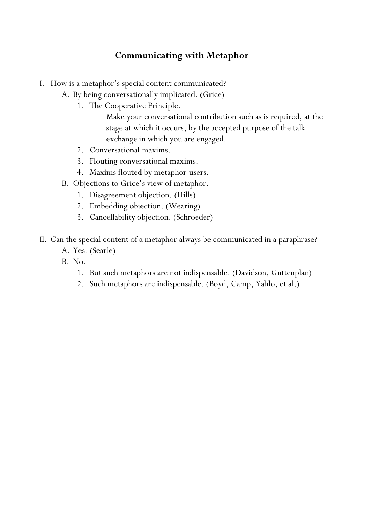# **Communicating with Metaphor**

- I. How is a metaphor's special content communicated?
	- A. By being conversationally implicated. (Grice)
		- 1. The Cooperative Principle.

Make your conversational contribution such as is required, at the stage at which it occurs, by the accepted purpose of the talk exchange in which you are engaged.

- 2. Conversational maxims.
- 3. Flouting conversational maxims.
- 4. Maxims flouted by metaphor-users.
- B. Objections to Grice's view of metaphor.
	- 1. Disagreement objection. (Hills)
	- 2. Embedding objection. (Wearing)
	- 3. Cancellability objection. (Schroeder)
- II. Can the special content of a metaphor always be communicated in a paraphrase?
	- A. Yes. (Searle)
	- B. No.
		- 1. But such metaphors are not indispensable. (Davidson, Guttenplan)
		- 2. Such metaphors are indispensable. (Boyd, Camp, Yablo, et al.)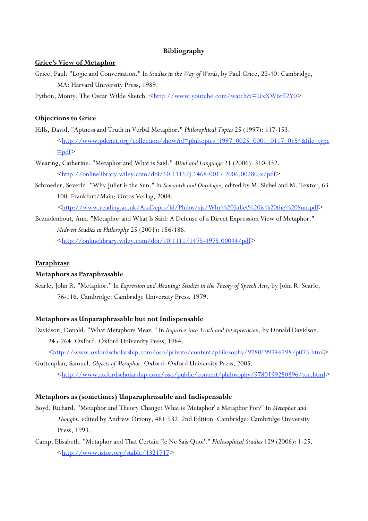## **Bibliography**

## **Grice's View of Metaphor**

- Grice, Paul. "Logic and Conversation." In *Studies in the Way of Words*, by Paul Grice, 22-40. Cambridge, MA: Harvard University Press, 1989.
- Python, Monty. The Oscar Wilde Sketch. <<http://www.youtube.com/watch?v=UxXW6tfl2Y0>>

## **Objections to Grice**

- Hills, David. "Aptness and Truth in Verbal Metaphor." *Philosophical Topics* 25 (1997): 117-153. [<http://www.pdcnet.org/collection/show?id=philtopics\\_1997\\_0025\\_0001\\_0117\\_0154&file\\_type](http://www.pdcnet.org/collection/show?id=philtopics_1997_0025_0001_0117_0154&file_type=pdf)  $\equiv$ pdf>
- Wearing, Catherine. "Metaphor and What is Said." *Mind and Language* 21 (2006): 310-332.  $\frac{\text{th}}{\text{t}}/$ /onlinelibrary.wiley.com/doi/10.1111/j.1468-0017.2006.00280.x/pdf>
- Schroeder, Severin. "Why Juliet is the Sun." In *Semantik und Ontologie*, edited by M. Siebel and M. Textor, 63- 100. Frankfurt/Main: Ontos Verlag, 2004.

 $\leq$ [http://www.reading.ac.uk/AcaDepts/ld/Philos/sjs/Why%20Juliet%20is%20the%20Sun.pdf](http://www.reading.ac.uk/AcaDepts/ld/Philos/sjs/sjs.htm)>

Bezuidenhout, Ann. "Metaphor and What Is Said: A Defense of a Direct Expression View of Metaphor." *Midwest Studies in Philosophy* 25 (2001): 156-186. [<http://onlinelibrary.wiley.com/doi/10.1111/1475-4975.00044/pdf](http://onlinelibrary.wiley.com/doi/10.1111/1475-4975.00044/pdf)>

#### **Paraphrase**

### **Metaphors as Paraphrasable**

Searle, John R. "Metaphor." In *Expression and Meaning: Studies in the Theory of Speech Acts*, by John R. Searle, 76-116. Cambridge: Cambridge University Press, 1979.

#### **Metaphors as Unparaphrasable but not Indispensable**

Davidson, Donald. "What Metaphors Mean." In *Inquiries into Truth and Interpretation*, by Donald Davidson, 245-264. Oxford: Oxford University Press, 1984.

[<http://www.oxfordscholarship.com/oso/private/content/philosophy/9780199246298/p073.html](http://www.oxfordscholarship.com/oso/private/content/philosophy/9780199246298/p073.html)>

Guttenplan, Samuel. *Objects of Metaphor*. Oxford: Oxford University Press, 2005.  $\frac{\text{th}}{\text{t}}/$ /www.oxfordscholarship.com/oso/public/content/philosophy/9780199280896/toc.html>

#### **Metaphors as (sometimes) Unparaphrasable and Indispensable**

- Boyd, Richard. "Metaphor and Theory Change: What is 'Metaphor' a Metaphor For?" In *Metaphor and Thought*, edited by Andrew Ortony, 481-532. 2nd Edition. Cambridge: Cambridge University Press, 1993.
- Camp, Elisabeth. "Metaphor and That Certain 'Je Ne Sais Quoi'." *Philosophical Studies* 129 (2006): 1-25.  $\frac{\text{http://www.jstor.org/stable/4321747}}{$